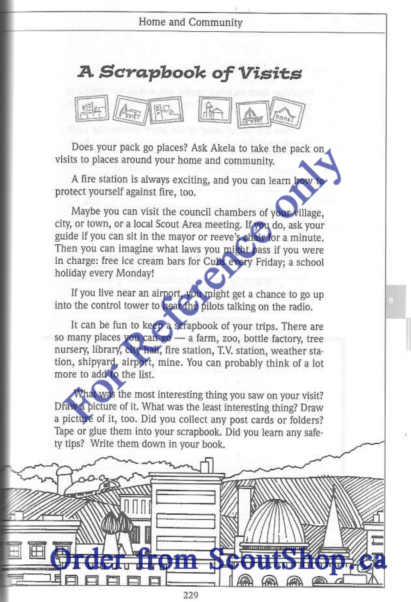## **A Scrapbook of Visits**



Does your pack go places? Ask Akela to take the pack on visits to places around your home and community.

A fire station is always exciting, and you can learn how to protect yourself against fire, too.

Maybe you can visit the council chambers of your village, city, or town, or a local Scout Area meeting. If you do, ask your guide if you can sit in the mayor or reeve's chair for a minute. Then you can imagine what laws you might bass if you were in charge: free ice cream bars for Cubs every Friday; a school holiday every Monday!

If you live near an airport, you might get a chance to go up into the control tower to hear the pilots talking on the radio.

It can be fun to keep a serapbook of your trips. There are so many places you can go - a farm, zoo, bottle factory, tree nursery, library, city half, fire station, T.V. station, weather station, shipyard, airport, mine. You can probably think of a lot more to add to the list.

What was the most interesting thing you saw on your visit? Draw a picture of it. What was the least interesting thing? Draw a picture of it, too. Did you collect any post cards or folders? Tape or glue them into your scrapbook. Did you learn any safety tips? Write them down in your book.

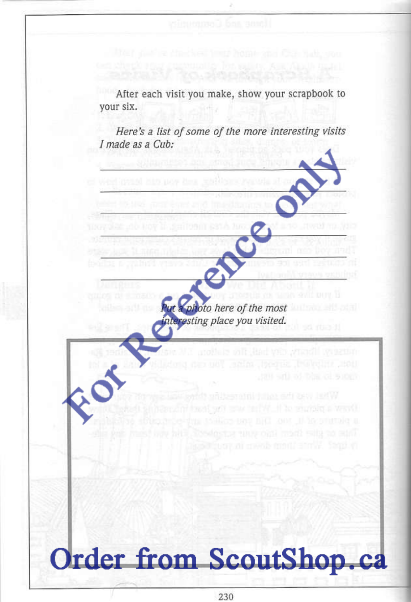After each visit you make, show your scrapbook to your six.

Here's a list of some of the more interesting visits I made as a Cub:

> photo here of the most teresting place you visited.

Order from ScoutShop.ca